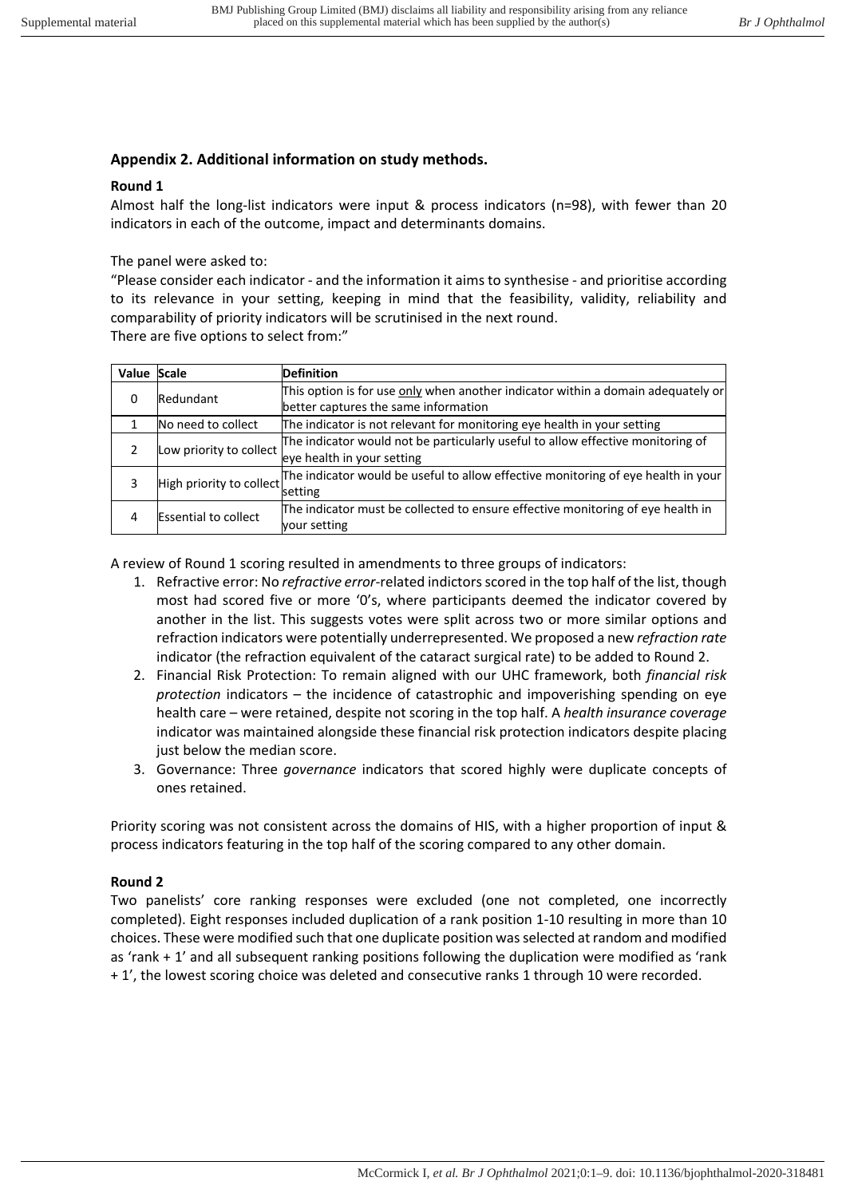## **Appendix 2. Additional information on study methods.**

## **Round 1**

Almost half the long-list indicators were input & process indicators (n=98), with fewer than 20 indicators in each of the outcome, impact and determinants domains.

The panel were asked to:

"Please consider each indicator - and the information it aims to synthesise - and prioritise according to its relevance in your setting, keeping in mind that the feasibility, validity, reliability and comparability of priority indicators will be scrutinised in the next round. There are five options to select from:"

| Value Scale |                             | <b>Definition</b>                                                                                                        |
|-------------|-----------------------------|--------------------------------------------------------------------------------------------------------------------------|
| 0           | Redundant                   | This option is for use only when another indicator within a domain adequately or<br>better captures the same information |
|             |                             |                                                                                                                          |
|             | No need to collect          | The indicator is not relevant for monitoring eye health in your setting                                                  |
|             | Low priority to collect     | The indicator would not be particularly useful to allow effective monitoring of                                          |
|             |                             | eye health in your setting                                                                                               |
|             | High priority to collect    | The indicator would be useful to allow effective monitoring of eye health in your                                        |
|             |                             | setting                                                                                                                  |
| 4           | <b>Essential to collect</b> | The indicator must be collected to ensure effective monitoring of eye health in                                          |
|             |                             | vour setting                                                                                                             |

A review of Round 1 scoring resulted in amendments to three groups of indicators:

- 1. Refractive error: No *refractive error*-related indictors scored in the top half of the list, though most had scored five or more '0's, where participants deemed the indicator covered by another in the list. This suggests votes were split across two or more similar options and refraction indicators were potentially underrepresented. We proposed a new *refraction rate* indicator (the refraction equivalent of the cataract surgical rate) to be added to Round 2.
- 2. Financial Risk Protection: To remain aligned with our UHC framework, both *financial risk protection* indicators – the incidence of catastrophic and impoverishing spending on eye health care – were retained, despite not scoring in the top half. A *health insurance coverage* indicator was maintained alongside these financial risk protection indicators despite placing just below the median score.
- 3. Governance: Three *governance* indicators that scored highly were duplicate concepts of ones retained.

Priority scoring was not consistent across the domains of HIS, with a higher proportion of input & process indicators featuring in the top half of the scoring compared to any other domain.

## **Round 2**

Two panelists' core ranking responses were excluded (one not completed, one incorrectly completed). Eight responses included duplication of a rank position 1-10 resulting in more than 10 choices. These were modified such that one duplicate position was selected at random and modified as 'rank + 1' and all subsequent ranking positions following the duplication were modified as 'rank + 1', the lowest scoring choice was deleted and consecutive ranks 1 through 10 were recorded.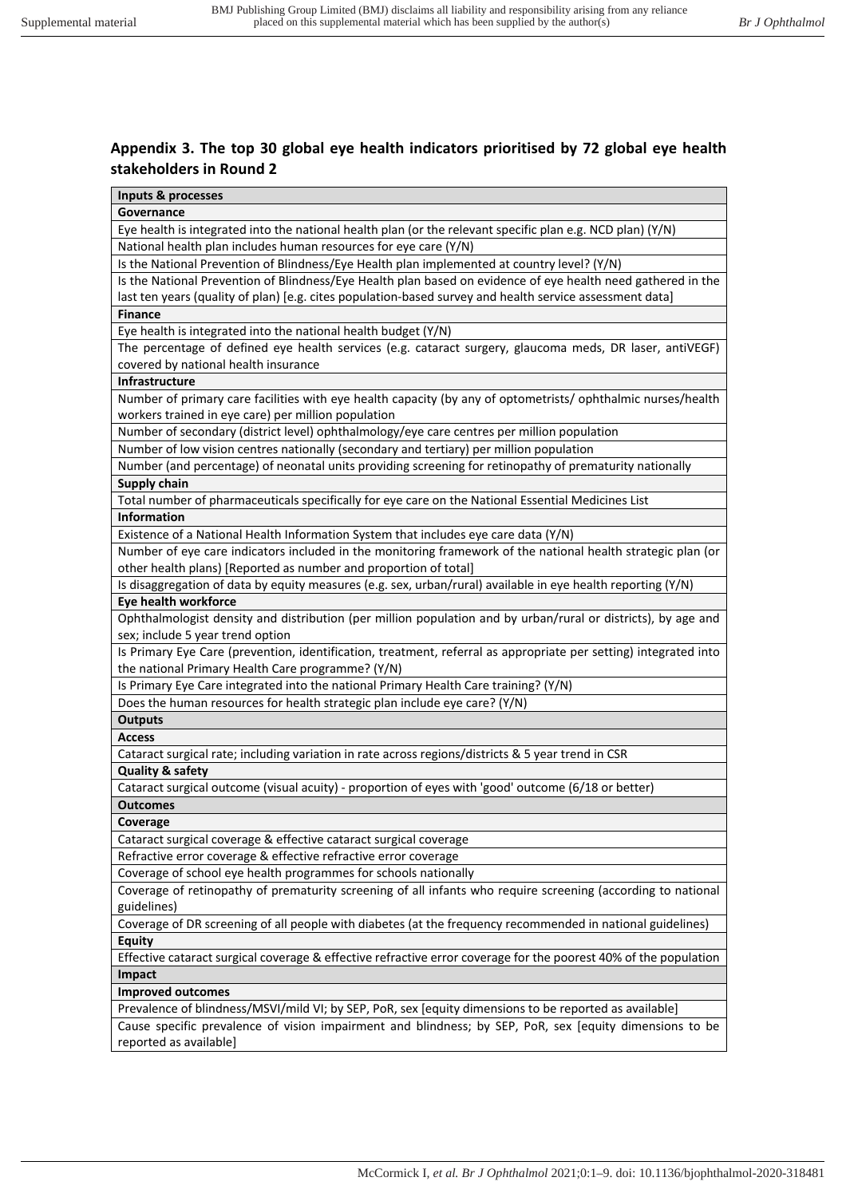## **Appendix 3. The top 30 global eye health indicators prioritised by 72 global eye health stakeholders in Round 2**

| Inputs & processes                                                                                               |  |  |  |
|------------------------------------------------------------------------------------------------------------------|--|--|--|
| Governance                                                                                                       |  |  |  |
| Eye health is integrated into the national health plan (or the relevant specific plan e.g. NCD plan) (Y/N)       |  |  |  |
| National health plan includes human resources for eye care (Y/N)                                                 |  |  |  |
| Is the National Prevention of Blindness/Eye Health plan implemented at country level? (Y/N)                      |  |  |  |
| Is the National Prevention of Blindness/Eye Health plan based on evidence of eye health need gathered in the     |  |  |  |
| last ten years (quality of plan) [e.g. cites population-based survey and health service assessment data]         |  |  |  |
| <b>Finance</b>                                                                                                   |  |  |  |
| Eye health is integrated into the national health budget (Y/N)                                                   |  |  |  |
| The percentage of defined eye health services (e.g. cataract surgery, glaucoma meds, DR laser, antiVEGF)         |  |  |  |
| covered by national health insurance                                                                             |  |  |  |
| Infrastructure                                                                                                   |  |  |  |
| Number of primary care facilities with eye health capacity (by any of optometrists/ ophthalmic nurses/health     |  |  |  |
| workers trained in eye care) per million population                                                              |  |  |  |
| Number of secondary (district level) ophthalmology/eye care centres per million population                       |  |  |  |
| Number of low vision centres nationally (secondary and tertiary) per million population                          |  |  |  |
| Number (and percentage) of neonatal units providing screening for retinopathy of prematurity nationally          |  |  |  |
| <b>Supply chain</b>                                                                                              |  |  |  |
| Total number of pharmaceuticals specifically for eye care on the National Essential Medicines List               |  |  |  |
| Information                                                                                                      |  |  |  |
| Existence of a National Health Information System that includes eye care data (Y/N)                              |  |  |  |
| Number of eye care indicators included in the monitoring framework of the national health strategic plan (or     |  |  |  |
|                                                                                                                  |  |  |  |
| other health plans) [Reported as number and proportion of total]                                                 |  |  |  |
| Is disaggregation of data by equity measures (e.g. sex, urban/rural) available in eye health reporting (Y/N)     |  |  |  |
| Eye health workforce                                                                                             |  |  |  |
| Ophthalmologist density and distribution (per million population and by urban/rural or districts), by age and    |  |  |  |
| sex; include 5 year trend option                                                                                 |  |  |  |
| Is Primary Eye Care (prevention, identification, treatment, referral as appropriate per setting) integrated into |  |  |  |
| the national Primary Health Care programme? (Y/N)                                                                |  |  |  |
| Is Primary Eye Care integrated into the national Primary Health Care training? (Y/N)                             |  |  |  |
| Does the human resources for health strategic plan include eye care? (Y/N)                                       |  |  |  |
| <b>Outputs</b>                                                                                                   |  |  |  |
| <b>Access</b>                                                                                                    |  |  |  |
| Cataract surgical rate; including variation in rate across regions/districts & 5 year trend in CSR               |  |  |  |
| <b>Quality &amp; safety</b>                                                                                      |  |  |  |
| Cataract surgical outcome (visual acuity) - proportion of eyes with 'good' outcome (6/18 or better)              |  |  |  |
| Outcomes                                                                                                         |  |  |  |
| Coverage                                                                                                         |  |  |  |
| Cataract surgical coverage & effective cataract surgical coverage                                                |  |  |  |
| Refractive error coverage & effective refractive error coverage                                                  |  |  |  |
| Coverage of school eye health programmes for schools nationally                                                  |  |  |  |
| Coverage of retinopathy of prematurity screening of all infants who require screening (according to national     |  |  |  |
| guidelines)                                                                                                      |  |  |  |
| Coverage of DR screening of all people with diabetes (at the frequency recommended in national guidelines)       |  |  |  |
| <b>Equity</b>                                                                                                    |  |  |  |
| Effective cataract surgical coverage & effective refractive error coverage for the poorest 40% of the population |  |  |  |
| Impact                                                                                                           |  |  |  |
| <b>Improved outcomes</b>                                                                                         |  |  |  |
| Prevalence of blindness/MSVI/mild VI; by SEP, PoR, sex [equity dimensions to be reported as available]           |  |  |  |
| Cause specific prevalence of vision impairment and blindness; by SEP, PoR, sex [equity dimensions to be          |  |  |  |
| reported as available]                                                                                           |  |  |  |